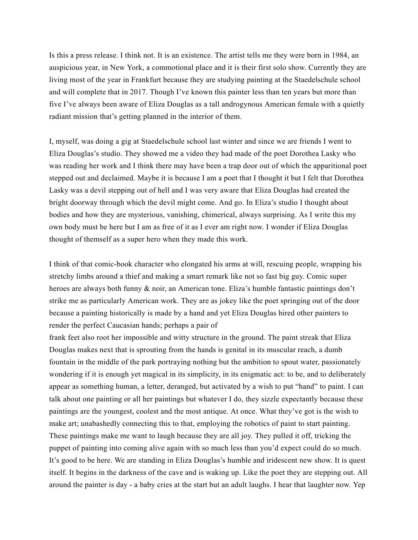Is this a press release. I think not. It is an existence. The artist tells me they were born in 1984, an auspicious year, in New York, a commotional place and it is their first solo show. Currently they are living most of the year in Frankfurt because they are studying painting at the Staedelschule school and will complete that in 2017. Though I've known this painter less than ten years but more than five I've always been aware of Eliza Douglas as a tall androgynous American female with a quietly radiant mission that's getting planned in the interior of them.

I, myself, was doing a gig at Staedelschule school last winter and since we are friends I went to Eliza Douglas's studio. They showed me a video they had made of the poet Dorothea Lasky who was reading her work and I think there may have been a trap door out of which the apparitional poet stepped out and declaimed. Maybe it is because I am a poet that I thought it but I felt that Dorothea Lasky was a devil stepping out of hell and I was very aware that Eliza Douglas had created the bright doorway through which the devil might come. And go. In Eliza's studio I thought about bodies and how they are mysterious, vanishing, chimerical, always surprising. As I write this my own body must be here but I am as free of it as I ever am right now. I wonder if Eliza Douglas thought of themself as a super hero when they made this work.

I think of that comic-book character who elongated his arms at will, rescuing people, wrapping his stretchy limbs around a thief and making a smart remark like not so fast big guy. Comic super heroes are always both funny & noir, an American tone. Eliza's humble fantastic paintings don't strike me as particularly American work. They are as jokey like the poet springing out of the door because a painting historically is made by a hand and yet Eliza Douglas hired other painters to render the perfect Caucasian hands; perhaps a pair of

frank feet also root her impossible and witty structure in the ground. The paint streak that Eliza Douglas makes next that is sprouting from the hands is genital in its muscular reach, a dumb fountain in the middle of the park portraying nothing but the ambition to spout water, passionately wondering if it is enough yet magical in its simplicity, in its enigmatic act: to be, and to deliberately appear as something human, a letter, deranged, but activated by a wish to put "hand" to paint. I can talk about one painting or all her paintings but whatever I do, they sizzle expectantly because these paintings are the youngest, coolest and the most antique. At once. What they've got is the wish to make art; unabashedly connecting this to that, employing the robotics of paint to start painting. These paintings make me want to laugh because they are all joy. They pulled it off, tricking the puppet of painting into coming alive again with so much less than you'd expect could do so much. It's good to be here. We are standing in Eliza Douglas's humble and iridescent new show. It is quest itself. It begins in the darkness of the cave and is waking up. Like the poet they are stepping out. All around the painter is day - a baby cries at the start but an adult laughs. I hear that laughter now. Yep